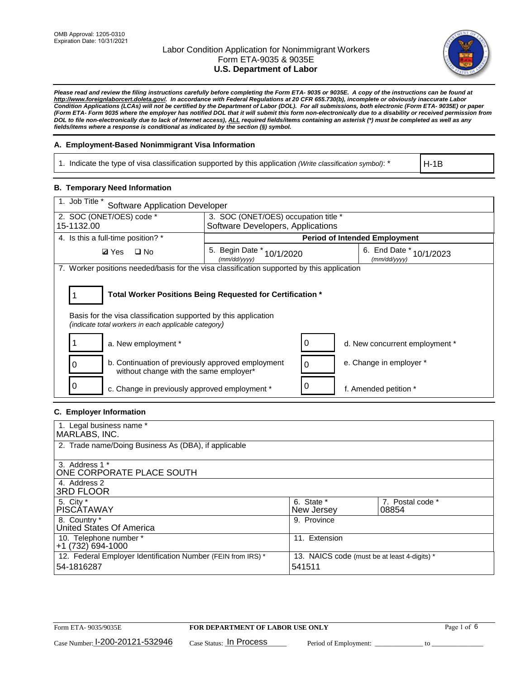

*Please read and review the filing instructions carefully before completing the Form ETA- 9035 or 9035E. A copy of the instructions can be found at [http://www.foreignlaborcert.doleta.gov/.](http://www.foreignlaborcert.doleta.gov/) In accordance with Federal Regulations at 20 CFR 655.730(b), incomplete or obviously inaccurate Labor Condition Applications (LCAs) will not be certified by the Department of Labor (DOL). For all submissions, both electronic (Form ETA- 9035E) or paper (Form ETA- Form 9035 where the employer has notified DOL that it will submit this form non-electronically due to a disability or received permission from DOL to file non-electronically due to lack of Internet access), ALL required fields/items containing an asterisk (\*) must be completed as well as any fields/items where a response is conditional as indicated by the section (§) symbol.* 

### **A. Employment-Based Nonimmigrant Visa Information**

1. Indicate the type of visa classification supported by this application *(Write classification symbol)*: \*

H-1B

### **B. Temporary Need Information**

| $\overline{1}$ . Job Title *<br><b>Software Application Developer</b>                                                                                                                 |                                           |   |                                         |  |  |  |
|---------------------------------------------------------------------------------------------------------------------------------------------------------------------------------------|-------------------------------------------|---|-----------------------------------------|--|--|--|
| 2. SOC (ONET/OES) code *                                                                                                                                                              | 3. SOC (ONET/OES) occupation title *      |   |                                         |  |  |  |
| 15-1132.00                                                                                                                                                                            | Software Developers, Applications         |   |                                         |  |  |  |
| 4. Is this a full-time position? *                                                                                                                                                    |                                           |   | <b>Period of Intended Employment</b>    |  |  |  |
| $\square$ No<br><b>Ø</b> Yes                                                                                                                                                          | 5. Begin Date * 10/1/2020<br>(mm/dd/yyyy) |   | 6. End Date * 10/1/2023<br>(mm/dd/yyyy) |  |  |  |
| 7. Worker positions needed/basis for the visa classification supported by this application                                                                                            |                                           |   |                                         |  |  |  |
| Total Worker Positions Being Requested for Certification *<br>Basis for the visa classification supported by this application<br>(indicate total workers in each applicable category) |                                           |   |                                         |  |  |  |
| a. New employment *                                                                                                                                                                   |                                           |   | d. New concurrent employment *          |  |  |  |
| b. Continuation of previously approved employment<br>without change with the same employer*                                                                                           |                                           | 0 | e. Change in employer *                 |  |  |  |
| c. Change in previously approved employment *                                                                                                                                         |                                           |   | f. Amended petition *                   |  |  |  |

### **C. Employer Information**

| 1. Legal business name *                                     |                                              |                  |
|--------------------------------------------------------------|----------------------------------------------|------------------|
| MARLABS, INC.                                                |                                              |                  |
| 2. Trade name/Doing Business As (DBA), if applicable         |                                              |                  |
|                                                              |                                              |                  |
| 3. Address 1 *                                               |                                              |                  |
| ONE CORPORATE PLACE SOUTH                                    |                                              |                  |
| 4. Address 2                                                 |                                              |                  |
| <b>3RD FLOOR</b>                                             |                                              |                  |
| 5. City *                                                    | 6. State *                                   | 7. Postal code * |
| PISCÁTAWAY                                                   | New Jersey                                   | 08854            |
| 8. Country *                                                 | 9. Province                                  |                  |
| United States Of America                                     |                                              |                  |
| 10. Telephone number *                                       | 11. Extension                                |                  |
| +1 (732) 694-1000                                            |                                              |                  |
| 12. Federal Employer Identification Number (FEIN from IRS) * | 13. NAICS code (must be at least 4-digits) * |                  |
| 54-1816287                                                   | 541511                                       |                  |
|                                                              |                                              |                  |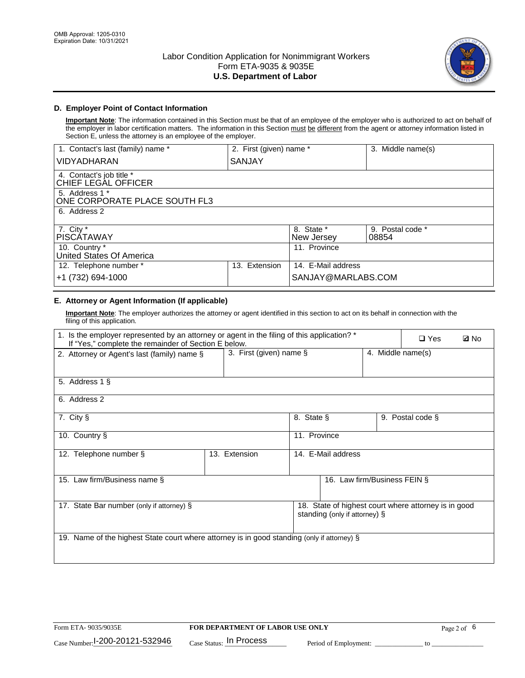

### **D. Employer Point of Contact Information**

**Important Note**: The information contained in this Section must be that of an employee of the employer who is authorized to act on behalf of the employer in labor certification matters. The information in this Section must be different from the agent or attorney information listed in Section E, unless the attorney is an employee of the employer.

| 1. Contact's last (family) name *               | 2. First (given) name * |                          | 3. Middle name(s)         |
|-------------------------------------------------|-------------------------|--------------------------|---------------------------|
| <b>VIDYADHARAN</b>                              | SANJAY                  |                          |                           |
| 4. Contact's job title *<br>CHIEF LEGAL OFFICER |                         |                          |                           |
| 5. Address 1 *<br>ONE CORPORATE PLACE SOUTH FL3 |                         |                          |                           |
| 6. Address 2                                    |                         |                          |                           |
| 7. City $*$<br><b>PISCATAWAY</b>                |                         | 8. State *<br>New Jersey | 9. Postal code *<br>08854 |
| 10. Country *<br>United States Of America       |                         | 11. Province             |                           |
| 12. Telephone number *                          | Extension<br>13.        | 14. E-Mail address       |                           |
| +1 (732) 694-1000                               |                         | SANJAY@MARLABS.COM       |                           |

## **E. Attorney or Agent Information (If applicable)**

**Important Note**: The employer authorizes the attorney or agent identified in this section to act on its behalf in connection with the filing of this application.

| 1. Is the employer represented by an attorney or agent in the filing of this application? *<br>If "Yes," complete the remainder of Section E below. |                         |              |                               |                   | $\Box$ Yes                                           | <b>ØNo</b> |
|-----------------------------------------------------------------------------------------------------------------------------------------------------|-------------------------|--------------|-------------------------------|-------------------|------------------------------------------------------|------------|
| 2. Attorney or Agent's last (family) name §                                                                                                         | 3. First (given) name § |              |                               | 4. Middle name(s) |                                                      |            |
| 5. Address 1 §                                                                                                                                      |                         |              |                               |                   |                                                      |            |
| 6. Address 2                                                                                                                                        |                         |              |                               |                   |                                                      |            |
| 7. City §                                                                                                                                           |                         | 8. State §   |                               |                   | 9. Postal code §                                     |            |
| 10. Country §                                                                                                                                       |                         | 11. Province |                               |                   |                                                      |            |
| 12. Telephone number §                                                                                                                              | 13. Extension           |              | 14. E-Mail address            |                   |                                                      |            |
| 15. Law firm/Business name §                                                                                                                        |                         |              | 16. Law firm/Business FEIN §  |                   |                                                      |            |
| 17. State Bar number (only if attorney) §                                                                                                           |                         |              | standing (only if attorney) § |                   | 18. State of highest court where attorney is in good |            |
| 19. Name of the highest State court where attorney is in good standing (only if attorney) §                                                         |                         |              |                               |                   |                                                      |            |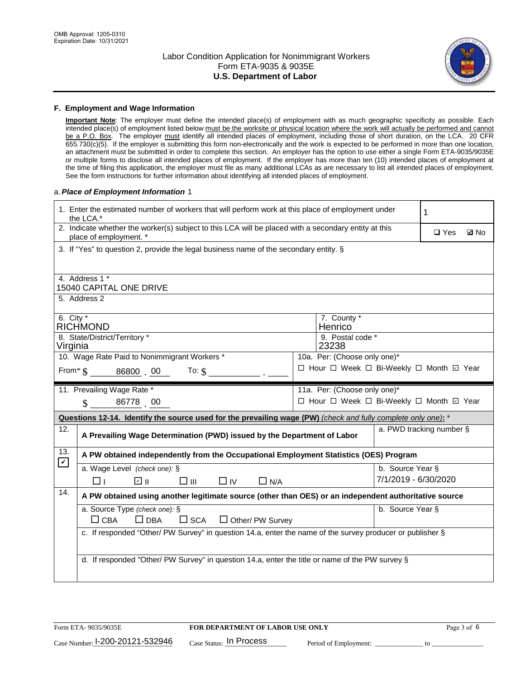

#### **F. Employment and Wage Information**

**Important Note**: The employer must define the intended place(s) of employment with as much geographic specificity as possible. Each intended place(s) of employment listed below must be the worksite or physical location where the work will actually be performed and cannot be a P.O. Box. The employer must identify all intended places of employment, including those of short duration, on the LCA. 20 CFR 655.730(c)(5). If the employer is submitting this form non-electronically and the work is expected to be performed in more than one location, an attachment must be submitted in order to complete this section. An employer has the option to use either a single Form ETA-9035/9035E or multiple forms to disclose all intended places of employment. If the employer has more than ten (10) intended places of employment at the time of filing this application, the employer must file as many additional LCAs as are necessary to list all intended places of employment. See the form instructions for further information about identifying all intended places of employment.

#### a.*Place of Employment Information* 1

|                                                                              | 1. Enter the estimated number of workers that will perform work at this place of employment under<br>the LCA.*                 |  | 1                            |                      |                                          |
|------------------------------------------------------------------------------|--------------------------------------------------------------------------------------------------------------------------------|--|------------------------------|----------------------|------------------------------------------|
|                                                                              | 2. Indicate whether the worker(s) subject to this LCA will be placed with a secondary entity at this<br>place of employment. * |  |                              |                      | $\square$ Yes<br><b>Z</b> No             |
|                                                                              | 3. If "Yes" to question 2, provide the legal business name of the secondary entity. §                                          |  |                              |                      |                                          |
|                                                                              | 4. Address 1 *                                                                                                                 |  |                              |                      |                                          |
|                                                                              | <b>15040 CAPITAL ONE DRIVE</b>                                                                                                 |  |                              |                      |                                          |
|                                                                              | 5. Address 2                                                                                                                   |  |                              |                      |                                          |
| 6. City $*$                                                                  | <b>RICHMOND</b>                                                                                                                |  | 7. County *<br>Henrico       |                      |                                          |
|                                                                              | 8. State/District/Territory *                                                                                                  |  | 9. Postal code *             |                      |                                          |
| 23238<br>Virginia                                                            |                                                                                                                                |  |                              |                      |                                          |
| 10. Wage Rate Paid to Nonimmigrant Workers *<br>10a. Per: (Choose only one)* |                                                                                                                                |  |                              |                      |                                          |
|                                                                              | □ Hour □ Week □ Bi-Weekly □ Month ☑ Year<br>From $\frac{1}{5}$ 86800 00<br>To: $\mathbf{\hat{s}}$                              |  |                              |                      |                                          |
|                                                                              | 11. Prevailing Wage Rate *                                                                                                     |  | 11a. Per: (Choose only one)* |                      |                                          |
|                                                                              | 86778 00<br>$\mathcal{S}$                                                                                                      |  |                              |                      | □ Hour □ Week □ Bi-Weekly □ Month 回 Year |
|                                                                              | Questions 12-14. Identify the source used for the prevailing wage (PW) (check and fully complete only one): *                  |  |                              |                      |                                          |
| 12.                                                                          | a. PWD tracking number §<br>A Prevailing Wage Determination (PWD) issued by the Department of Labor                            |  |                              |                      |                                          |
|                                                                              |                                                                                                                                |  |                              |                      |                                          |
| 13.                                                                          | A PW obtained independently from the Occupational Employment Statistics (OES) Program                                          |  |                              |                      |                                          |
| $\mathbf v$                                                                  | a. Wage Level (check one): §                                                                                                   |  |                              | b. Source Year §     |                                          |
|                                                                              | பெ<br>$\square$ $\square$<br>⊓⊥<br>$\Box$ IV<br>$\Box$ N/A                                                                     |  |                              | 7/1/2019 - 6/30/2020 |                                          |
| 14.                                                                          | A PW obtained using another legitimate source (other than OES) or an independent authoritative source                          |  |                              |                      |                                          |
|                                                                              | a. Source Type (check one): §                                                                                                  |  |                              | b. Source Year §     |                                          |
|                                                                              | $\Box$ CBA<br>$\Box$ DBA<br>$\square$ SCA<br>$\Box$ Other/ PW Survey                                                           |  |                              |                      |                                          |
|                                                                              | c. If responded "Other/ PW Survey" in question 14.a, enter the name of the survey producer or publisher §                      |  |                              |                      |                                          |
|                                                                              |                                                                                                                                |  |                              |                      |                                          |
|                                                                              | d. If responded "Other/ PW Survey" in question 14.a, enter the title or name of the PW survey §                                |  |                              |                      |                                          |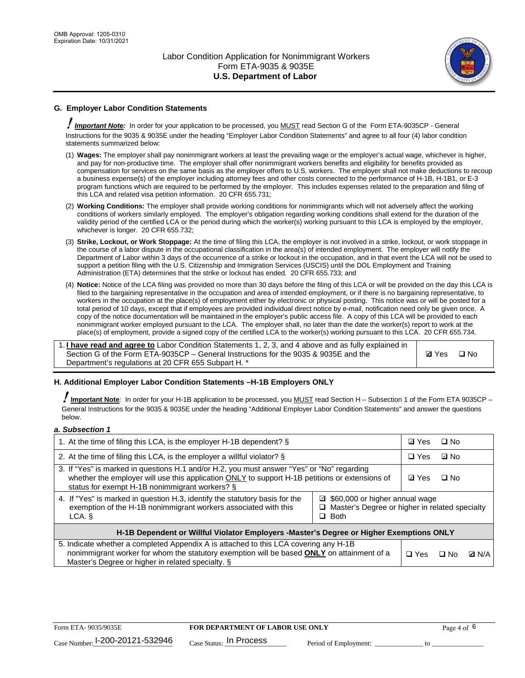

### **G. Employer Labor Condition Statements**

! *Important Note:* In order for your application to be processed, you MUST read Section G of the Form ETA-9035CP - General Instructions for the 9035 & 9035E under the heading "Employer Labor Condition Statements" and agree to all four (4) labor condition statements summarized below:

- (1) **Wages:** The employer shall pay nonimmigrant workers at least the prevailing wage or the employer's actual wage, whichever is higher, and pay for non-productive time. The employer shall offer nonimmigrant workers benefits and eligibility for benefits provided as compensation for services on the same basis as the employer offers to U.S. workers. The employer shall not make deductions to recoup a business expense(s) of the employer including attorney fees and other costs connected to the performance of H-1B, H-1B1, or E-3 program functions which are required to be performed by the employer. This includes expenses related to the preparation and filing of this LCA and related visa petition information. 20 CFR 655.731;
- (2) **Working Conditions:** The employer shall provide working conditions for nonimmigrants which will not adversely affect the working conditions of workers similarly employed. The employer's obligation regarding working conditions shall extend for the duration of the validity period of the certified LCA or the period during which the worker(s) working pursuant to this LCA is employed by the employer, whichever is longer. 20 CFR 655.732;
- (3) **Strike, Lockout, or Work Stoppage:** At the time of filing this LCA, the employer is not involved in a strike, lockout, or work stoppage in the course of a labor dispute in the occupational classification in the area(s) of intended employment. The employer will notify the Department of Labor within 3 days of the occurrence of a strike or lockout in the occupation, and in that event the LCA will not be used to support a petition filing with the U.S. Citizenship and Immigration Services (USCIS) until the DOL Employment and Training Administration (ETA) determines that the strike or lockout has ended. 20 CFR 655.733; and
- (4) **Notice:** Notice of the LCA filing was provided no more than 30 days before the filing of this LCA or will be provided on the day this LCA is filed to the bargaining representative in the occupation and area of intended employment, or if there is no bargaining representative, to workers in the occupation at the place(s) of employment either by electronic or physical posting. This notice was or will be posted for a total period of 10 days, except that if employees are provided individual direct notice by e-mail, notification need only be given once. A copy of the notice documentation will be maintained in the employer's public access file. A copy of this LCA will be provided to each nonimmigrant worker employed pursuant to the LCA. The employer shall, no later than the date the worker(s) report to work at the place(s) of employment, provide a signed copy of the certified LCA to the worker(s) working pursuant to this LCA. 20 CFR 655.734.

1. **I have read and agree to** Labor Condition Statements 1, 2, 3, and 4 above and as fully explained in Section G of the Form ETA-9035CP – General Instructions for the 9035 & 9035E and the Department's regulations at 20 CFR 655 Subpart H. \*

**Ø**Yes ロNo

### **H. Additional Employer Labor Condition Statements –H-1B Employers ONLY**

!**Important Note***:* In order for your H-1B application to be processed, you MUST read Section H – Subsection 1 of the Form ETA 9035CP – General Instructions for the 9035 & 9035E under the heading "Additional Employer Labor Condition Statements" and answer the questions below.

#### *a. Subsection 1*

| 1. At the time of filing this LCA, is the employer H-1B dependent? §                                                                                                                                                                                          |  | ⊡ Yes      | $\square$ No |              |
|---------------------------------------------------------------------------------------------------------------------------------------------------------------------------------------------------------------------------------------------------------------|--|------------|--------------|--------------|
| 2. At the time of filing this LCA, is the employer a willful violator? $\S$                                                                                                                                                                                   |  | $\Box$ Yes | ⊡ No         |              |
| 3. If "Yes" is marked in questions H.1 and/or H.2, you must answer "Yes" or "No" regarding<br>whether the employer will use this application ONLY to support H-1B petitions or extensions of<br>status for exempt H-1B nonimmigrant workers? §                |  |            | $\Box$ No    |              |
| 4. If "Yes" is marked in question H.3, identify the statutory basis for the<br>■ \$60,000 or higher annual wage<br>exemption of the H-1B nonimmigrant workers associated with this<br>□ Master's Degree or higher in related specialty<br>$\Box$ Both<br>LCA. |  |            |              |              |
| H-1B Dependent or Willful Violator Employers -Master's Degree or Higher Exemptions ONLY                                                                                                                                                                       |  |            |              |              |
| 5. Indicate whether a completed Appendix A is attached to this LCA covering any H-1B<br>nonimmigrant worker for whom the statutory exemption will be based <b>ONLY</b> on attainment of a<br>Master's Degree or higher in related specialty. §                |  |            | ⊡ No         | <b>D</b> N/A |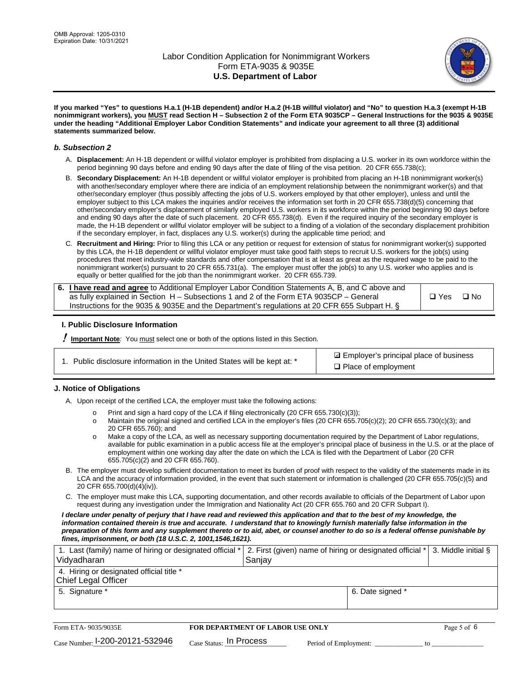

**If you marked "Yes" to questions H.a.1 (H-1B dependent) and/or H.a.2 (H-1B willful violator) and "No" to question H.a.3 (exempt H-1B nonimmigrant workers), you MUST read Section H – Subsection 2 of the Form ETA 9035CP – General Instructions for the 9035 & 9035E under the heading "Additional Employer Labor Condition Statements" and indicate your agreement to all three (3) additional statements summarized below.**

#### *b. Subsection 2*

- A. **Displacement:** An H-1B dependent or willful violator employer is prohibited from displacing a U.S. worker in its own workforce within the period beginning 90 days before and ending 90 days after the date of filing of the visa petition. 20 CFR 655.738(c);
- B. **Secondary Displacement:** An H-1B dependent or willful violator employer is prohibited from placing an H-1B nonimmigrant worker(s) with another/secondary employer where there are indicia of an employment relationship between the nonimmigrant worker(s) and that other/secondary employer (thus possibly affecting the jobs of U.S. workers employed by that other employer), unless and until the employer subject to this LCA makes the inquiries and/or receives the information set forth in 20 CFR 655.738(d)(5) concerning that other/secondary employer's displacement of similarly employed U.S. workers in its workforce within the period beginning 90 days before and ending 90 days after the date of such placement. 20 CFR 655.738(d). Even if the required inquiry of the secondary employer is made, the H-1B dependent or willful violator employer will be subject to a finding of a violation of the secondary displacement prohibition if the secondary employer, in fact, displaces any U.S. worker(s) during the applicable time period; and
- C. **Recruitment and Hiring:** Prior to filing this LCA or any petition or request for extension of status for nonimmigrant worker(s) supported by this LCA, the H-1B dependent or willful violator employer must take good faith steps to recruit U.S. workers for the job(s) using procedures that meet industry-wide standards and offer compensation that is at least as great as the required wage to be paid to the nonimmigrant worker(s) pursuant to 20 CFR 655.731(a). The employer must offer the job(s) to any U.S. worker who applies and is equally or better qualified for the job than the nonimmigrant worker. 20 CFR 655.739.

| 6. I have read and agree to Additional Employer Labor Condition Statements A, B, and C above and |       |           |
|--------------------------------------------------------------------------------------------------|-------|-----------|
| as fully explained in Section H – Subsections 1 and 2 of the Form ETA 9035CP – General           | □ Yes | $\Box$ No |
| Instructions for the 9035 & 9035E and the Department's regulations at 20 CFR 655 Subpart H. §    |       |           |

### **I. Public Disclosure Information**

! **Important Note***:* You must select one or both of the options listed in this Section.

|  | 1. Public disclosure information in the United States will be kept at: * |  |  |  |
|--|--------------------------------------------------------------------------|--|--|--|
|  |                                                                          |  |  |  |

**sqrt** Employer's principal place of business □ Place of employment

### **J. Notice of Obligations**

A. Upon receipt of the certified LCA, the employer must take the following actions:

- o Print and sign a hard copy of the LCA if filing electronically (20 CFR 655.730(c)(3));<br>
Maintain the original signed and certified LCA in the employer's files (20 CFR 655.7
- Maintain the original signed and certified LCA in the employer's files (20 CFR 655.705(c)(2); 20 CFR 655.730(c)(3); and 20 CFR 655.760); and
- o Make a copy of the LCA, as well as necessary supporting documentation required by the Department of Labor regulations, available for public examination in a public access file at the employer's principal place of business in the U.S. or at the place of employment within one working day after the date on which the LCA is filed with the Department of Labor (20 CFR 655.705(c)(2) and 20 CFR 655.760).
- B. The employer must develop sufficient documentation to meet its burden of proof with respect to the validity of the statements made in its LCA and the accuracy of information provided, in the event that such statement or information is challenged (20 CFR 655.705(c)(5) and 20 CFR 655.700(d)(4)(iv)).
- C. The employer must make this LCA, supporting documentation, and other records available to officials of the Department of Labor upon request during any investigation under the Immigration and Nationality Act (20 CFR 655.760 and 20 CFR Subpart I).

*I declare under penalty of perjury that I have read and reviewed this application and that to the best of my knowledge, the*  information contained therein is true and accurate. I understand that to knowingly furnish materially false information in the *preparation of this form and any supplement thereto or to aid, abet, or counsel another to do so is a federal offense punishable by fines, imprisonment, or both (18 U.S.C. 2, 1001,1546,1621).*

| 1. Last (family) name of hiring or designated official *   2. First (given) name of hiring or designated official *   3. Middle initial §<br>Vidyadharan | Saniav           |  |
|----------------------------------------------------------------------------------------------------------------------------------------------------------|------------------|--|
| 4. Hiring or designated official title *<br>Chief Legal Officer                                                                                          |                  |  |
| 5. Signature *                                                                                                                                           | 6. Date signed * |  |

| Form ETA-9035/9035E                         | <b>FOR DEPARTMENT OF LABOR USE ONLY</b> |                       |  |
|---------------------------------------------|-----------------------------------------|-----------------------|--|
| $_{\text{Case Number:}}$ I-200-20121-532946 | $_{\text{Case Status:}}$ In Process     | Period of Employment: |  |